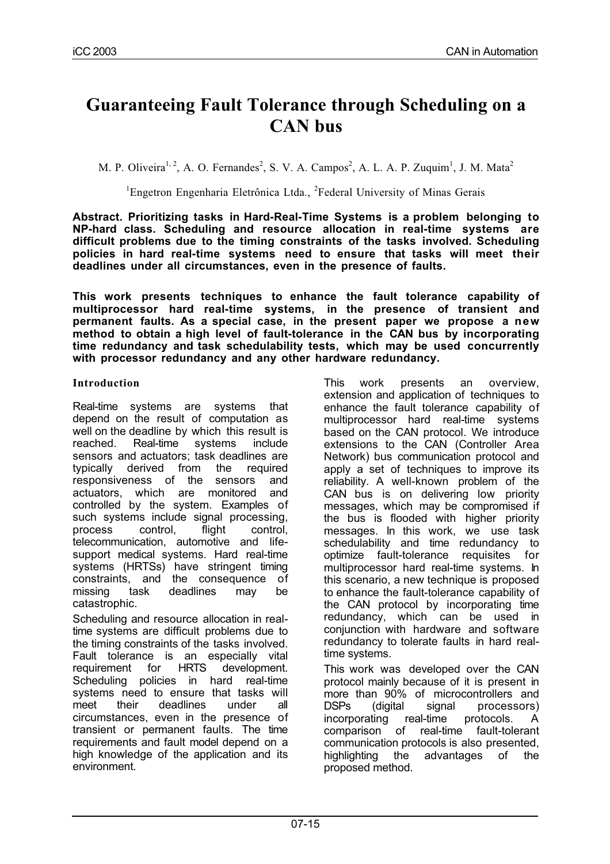# **Guaranteeing Fault Tolerance through Scheduling on a CAN bus**

M. P. Oliveira<sup>1, 2</sup>, A. O. Fernandes<sup>2</sup>, S. V. A. Campos<sup>2</sup>, A. L. A. P. Zuquim<sup>1</sup>, J. M. Mata<sup>2</sup>

<sup>1</sup>Engetron Engenharia Eletrônica Ltda., <sup>2</sup>Federal University of Minas Gerais

**Abstract. Prioritizing tasks in Hard-Real-Time Systems is a problem belonging to NP-hard class. Scheduling and resource allocation in real-time systems are difficult problems due to the timing constraints of the tasks involved. Scheduling policies in hard real-time systems need to ensure that tasks will meet their deadlines under all circumstances, even in the presence of faults.**

**This work presents techniques to enhance the fault tolerance capability of multiprocessor hard real-time systems, in the presence of transient and permanent faults. As a special case, in the present paper we propose a new method to obtain a high level of fault-tolerance in the CAN bus by incorporating time redundancy and task schedulability tests, which may be used concurrently with processor redundancy and any other hardware redundancy.** 

#### **Introduction**

Real-time systems are systems that depend on the result of computation as well on the deadline by which this result is reached. Real-time systems include sensors and actuators; task deadlines are typically derived from the required responsiveness of the sensors and actuators, which are monitored and controlled by the system. Examples of such systems include signal processing, process control, flight control, telecommunication, automotive and lifesupport medical systems. Hard real-time systems (HRTSs) have stringent timing constraints, and the consequence of missing task deadlines may be catastrophic.

Scheduling and resource allocation in realtime systems are difficult problems due to the timing constraints of the tasks involved. Fault tolerance is an especially vital requirement for HRTS development. Scheduling policies in hard real-time systems need to ensure that tasks will meet their deadlines under all circumstances, even in the presence of transient or permanent faults. The time requirements and fault model depend on a high knowledge of the application and its environment.

This work presents an overview, extension and application of techniques to enhance the fault tolerance capability of multiprocessor hard real-time systems based on the CAN protocol. We introduce extensions to the CAN (Controller Area Network) bus communication protocol and apply a set of techniques to improve its reliability. A well-known problem of the CAN bus is on delivering low priority messages, which may be compromised if the bus is flooded with higher priority messages. In this work, we use task schedulability and time redundancy to optimize fault-tolerance requisites for multiprocessor hard real-time systems. In this scenario, a new technique is proposed to enhance the fault-tolerance capability of the CAN protocol by incorporating time redundancy, which can be used in conjunction with hardware and software redundancy to tolerate faults in hard realtime systems.

This work was developed over the CAN protocol mainly because of it is present in more than 90% of microcontrollers and DSPs (digital signal processors) incorporating real-time protocols. A comparison of real-time fault-tolerant communication protocols is also presented, highlighting the advantages of the proposed method.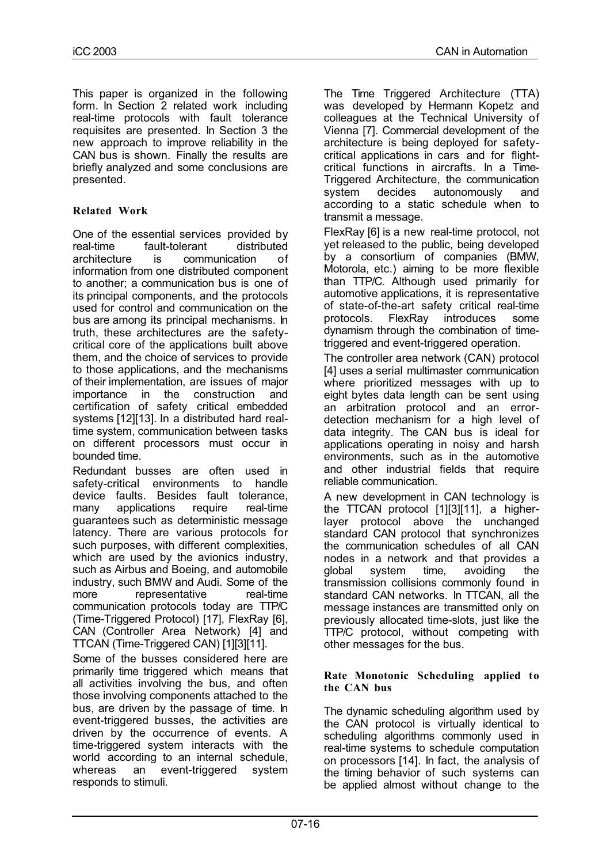This paper is organized in the following form. In Section 2 related work including real-time protocols with fault tolerance requisites are presented. In Section 3 the new approach to improve reliability in the CAN bus is shown. Finally the results are briefly analyzed and some conclusions are presented.

# **Related Work**

One of the essential services provided by real-time fault-tolerant distributed architecture is communication of information from one distributed component to another; a communication bus is one of its principal components, and the protocols used for control and communication on the bus are among its principal mechanisms. In truth, these architectures are the safetycritical core of the applications built above them, and the choice of services to provide to those applications, and the mechanisms of their implementation, are issues of major importance in the construction and certification of safety critical embedded systems [12][13]. In a distributed hard realtime system, communication between tasks on different processors must occur in bounded time.

Redundant busses are often used in safety-critical environments to handle device faults. Besides fault tolerance, many applications require real-time guarantees such as deterministic message latency. There are various protocols for such purposes, with different complexities, which are used by the avionics industry, such as Airbus and Boeing, and automobile industry, such BMW and Audi. Some of the more representative real-time communication protocols today are TTP/C (Time-Triggered Protocol) [17], FlexRay [6], CAN (Controller Area Network) [4] and TTCAN (Time-Triggered CAN) [1][3][11].

Some of the busses considered here are primarily time triggered which means that all activities involving the bus, and often those involving components attached to the bus, are driven by the passage of time. In event-triggered busses, the activities are driven by the occurrence of events. A time-triggered system interacts with the world according to an internal schedule, whereas an event-triggered system responds to stimuli.

The Time Triggered Architecture (TTA) was developed by Hermann Kopetz and colleagues at the Technical University of Vienna [7]. Commercial development of the architecture is being deployed for safetycritical applications in cars and for flightcritical functions in aircrafts. In a Time-Triggered Architecture, the communication system decides autonomously and according to a static schedule when to transmit a message.

FlexRay [6] is a new real-time protocol, not yet released to the public, being developed by a consortium of companies (BMW, Motorola, etc.) aiming to be more flexible than TTP/C. Although used primarily for automotive applications, it is representative of state-of-the-art safety critical real-time protocols. FlexRay introduces some dynamism through the combination of timetriggered and event-triggered operation.

The controller area network (CAN) protocol [4] uses a serial multimaster communication where prioritized messages with up to eight bytes data length can be sent using an arbitration protocol and an errordetection mechanism for a high level of data integrity. The CAN bus is ideal for applications operating in noisy and harsh environments, such as in the automotive and other industrial fields that require reliable communication.

A new development in CAN technology is the TTCAN protocol [1][3][11], a higherlayer protocol above the unchanged standard CAN protocol that synchronizes the communication schedules of all CAN nodes in a network and that provides a global system time, avoiding the transmission collisions commonly found in standard CAN networks. In TTCAN, all the message instances are transmitted only on previously allocated time-slots, just like the TTP/C protocol, without competing with other messages for the bus.

#### **Rate Monotonic Scheduling applied to the CAN bus**

The dynamic scheduling algorithm used by the CAN protocol is virtually identical to scheduling algorithms commonly used in real-time systems to schedule computation on processors [14]. In fact, the analysis of the timing behavior of such systems can be applied almost without change to the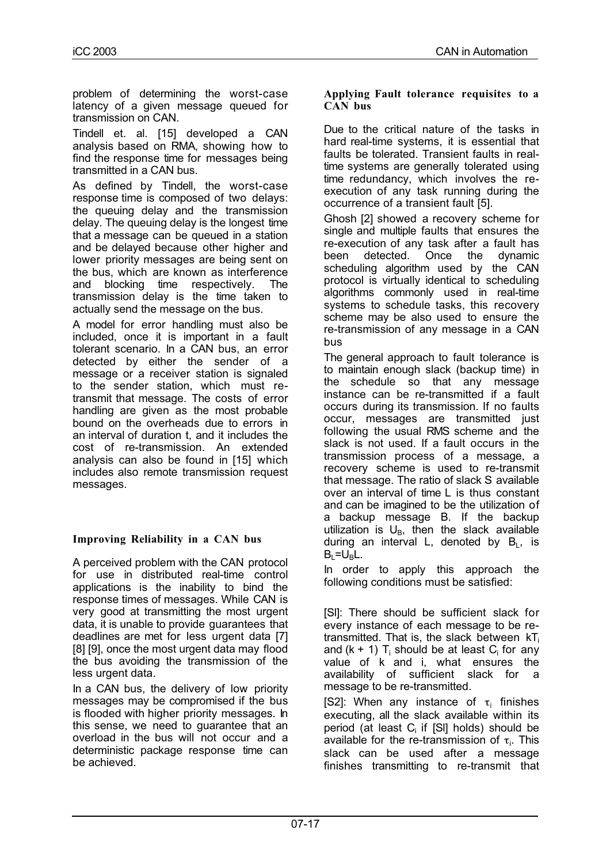problem of determining the worst-case latency of a given message queued for transmission on CAN.

Tindell et. al. [15] developed a CAN analysis based on RMA, showing how to find the response time for messages being transmitted in a CAN bus.

As defined by Tindell, the worst-case response time is composed of two delays: the queuing delay and the transmission delay. The queuing delay is the longest time that a message can be queued in a station and be delayed because other higher and lower priority messages are being sent on the bus, which are known as interference and blocking time respectively. The transmission delay is the time taken to actually send the message on the bus.

A model for error handling must also be included, once it is important in a fault tolerant scenario. In a CAN bus, an error detected by either the sender of a message or a receiver station is signaled to the sender station, which must retransmit that message. The costs of error handling are given as the most probable bound on the overheads due to errors in an interval of duration t, and it includes the cost of re-transmission. An extended analysis can also be found in [15] which includes also remote transmission request messages.

## **Improving Reliability in a CAN bus**

A perceived problem with the CAN protocol for use in distributed real-time control applications is the inability to bind the response times of messages. While CAN is very good at transmitting the most urgent data, it is unable to provide guarantees that deadlines are met for less urgent data [7] [8] [9], once the most urgent data may flood the bus avoiding the transmission of the less urgent data.

In a CAN bus, the delivery of low priority messages may be compromised if the bus is flooded with higher priority messages. In this sense, we need to guarantee that an overload in the bus will not occur and a deterministic package response time can be achieved.

#### **Applying Fault tolerance requisites to a CAN bus**

Due to the critical nature of the tasks in hard real-time systems, it is essential that faults be tolerated. Transient faults in realtime systems are generally tolerated using time redundancy, which involves the reexecution of any task running during the occurrence of a transient fault [5].

Ghosh [2] showed a recovery scheme for single and multiple faults that ensures the re-execution of any task after a fault has been detected. Once the dynamic scheduling algorithm used by the CAN protocol is virtually identical to scheduling algorithms commonly used in real-time systems to schedule tasks, this recovery scheme may be also used to ensure the re-transmission of any message in a CAN bus

The general approach to fault tolerance is to maintain enough slack (backup time) in the schedule so that any message instance can be re-transmitted if a fault occurs during its transmission. If no faults occur, messages are transmitted just following the usual RMS scheme and the slack is not used. If a fault occurs in the transmission process of a message, a recovery scheme is used to re-transmit that message. The ratio of slack S available over an interval of time L is thus constant and can be imagined to be the utilization of a backup message B. If the backup utilization is  $U_B$ , then the slack available during an interval L, denoted by  $B_L$ , is  $B_L = U_B L$ .

In order to apply this approach the following conditions must be satisfied:

[Sl]: There should be sufficient slack for every instance of each message to be retransmitted. That is, the slack between  $kT_i$ and  $(k + 1)$  T<sub>i</sub> should be at least C<sub>i</sub> for any value of k and i, what ensures the availability of sufficient slack for a message to be re-transmitted.

[S2]: When any instance of  $\tau_i$  finishes executing, all the slack available within its period (at least  $C_i$  if [SI] holds) should be available for the re-transmission of  $\tau_i$ . This slack can be used after a message finishes transmitting to re-transmit that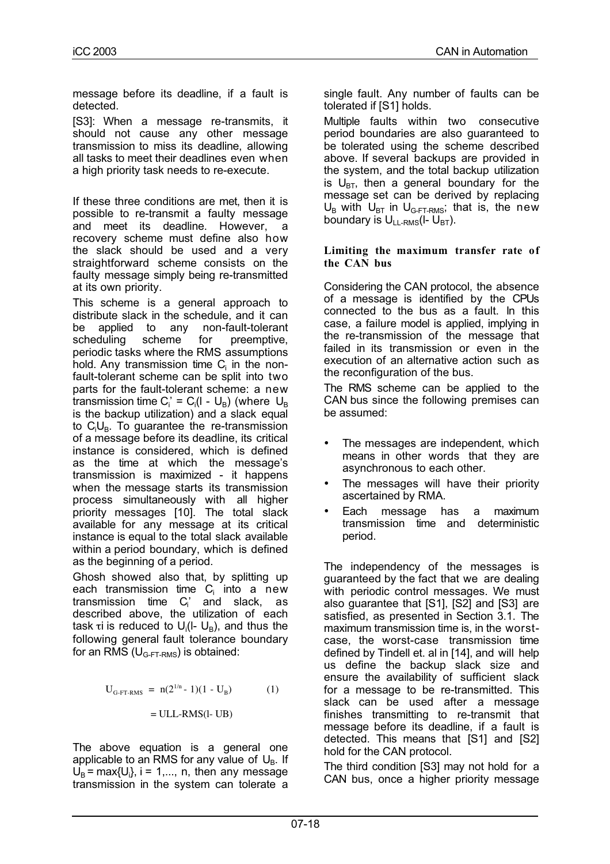message before its deadline, if a fault is detected.

[S3]: When a message re-transmits, it should not cause any other message transmission to miss its deadline, allowing all tasks to meet their deadlines even when a high priority task needs to re-execute.

If these three conditions are met, then it is possible to re-transmit a faulty message and meet its deadline. However, a recovery scheme must define also how the slack should be used and a very straightforward scheme consists on the faulty message simply being re-transmitted at its own priority.

This scheme is a general approach to distribute slack in the schedule, and it can be applied to any non-fault-tolerant scheduling scheme for preemptive, periodic tasks where the RMS assumptions hold. Any transmission time  $C_i$  in the nonfault-tolerant scheme can be split into two parts for the fault-tolerant scheme: a new transmission time C<sub>i</sub> = C<sub>i</sub>(l - U<sub>B</sub>) (where U<sub>B</sub> is the backup utilization) and a slack equal to C<sub>i</sub>U<sub>B</sub>. To guarantee the re-transmission of a message before its deadline, its critical instance is considered, which is defined as the time at which the message's transmission is maximized - it happens when the message starts its transmission process simultaneously with all higher priority messages [10]. The total slack available for any message at its critical instance is equal to the total slack available within a period boundary, which is defined as the beginning of a period.

Ghosh showed also that, by splitting up each transmission time  $C_i$  into a new transmission time  $C_i'$  and slack, as described above, the utilization of each task τ $i$  is reduced to U $_i$ (I- U $_B$ ), and thus the following general fault tolerance boundary for an RMS  $(U_{G-FI-RMS})$  is obtained:

$$
U_{G-FT-RMS} = n(2^{1/n} - 1)(1 - U_B)
$$
 (1)  
= ULL-RMS(l-UB)

The above equation is a general one applicable to an RMS for any value of  $U_{B}$ . If  $U_B$  = max{ $U_i$ }, i = 1,..., n, then any message transmission in the system can tolerate a

single fault. Any number of faults can be tolerated if [S1] holds.

Multiple faults within two consecutive period boundaries are also guaranteed to be tolerated using the scheme described above. If several backups are provided in the system, and the total backup utilization is  $U_{BT}$ , then a general boundary for the message set can be derived by replacing  $U_B$  with  $U_{BT}$  in  $U_{G-FT-RMS}$ ; that is, the new boundary is  $U_{L1-RMS}(I-U_{BT})$ .

#### **Limiting the maximum transfer rate of the CAN bus**

Considering the CAN protocol, the absence of a message is identified by the CPUs connected to the bus as a fault. In this case, a failure model is applied, implying in the re-transmission of the message that failed in its transmission or even in the execution of an alternative action such as the reconfiguration of the bus.

The RMS scheme can be applied to the CAN bus since the following premises can be assumed:

- The messages are independent, which means in other words that they are asynchronous to each other.
- The messages will have their priority ascertained by RMA.
- Each message has a maximum transmission time and deterministic period.

The independency of the messages is guaranteed by the fact that we are dealing with periodic control messages. We must also guarantee that [S1], [S2] and [S3] are satisfied, as presented in Section 3.1. The maximum transmission time is, in the worstcase, the worst-case transmission time defined by Tindell et. al in [14], and will help us define the backup slack size and ensure the availability of sufficient slack for a message to be re-transmitted. This slack can be used after a message finishes transmitting to re-transmit that message before its deadline, if a fault is detected. This means that [S1] and [S2] hold for the CAN protocol.

The third condition [S3] may not hold for a CAN bus, once a higher priority message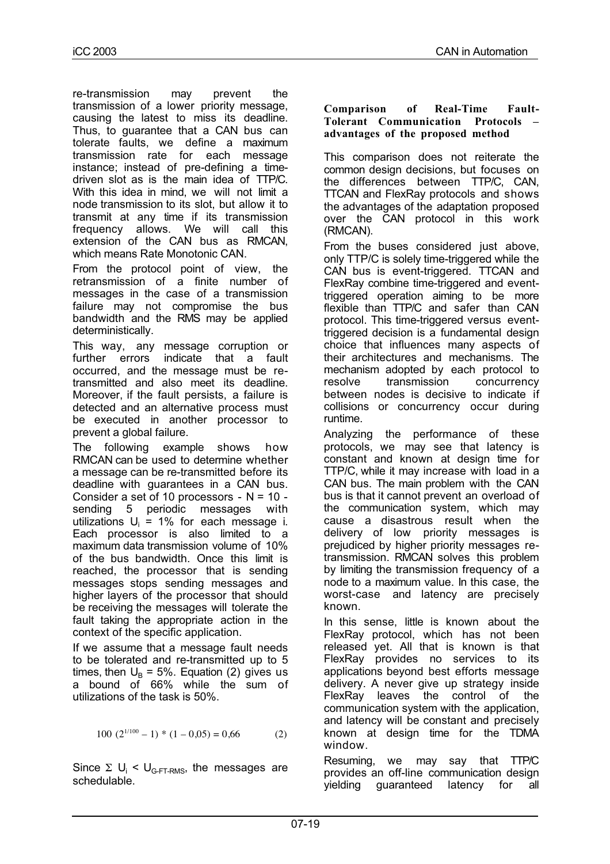re-transmission may prevent the transmission of a lower priority message, causing the latest to miss its deadline. Thus, to guarantee that a CAN bus can tolerate faults, we define a maximum transmission rate for each message instance; instead of pre-defining a timedriven slot as is the main idea of TTP/C. With this idea in mind, we will not limit a node transmission to its slot, but allow it to transmit at any time if its transmission frequency allows. We will call this extension of the CAN bus as RMCAN, which means Rate Monotonic CAN.

From the protocol point of view, the retransmission of a finite number of messages in the case of a transmission failure may not compromise the bus bandwidth and the RMS may be applied deterministically.

This way, any message corruption or further errors indicate that a fault occurred, and the message must be retransmitted and also meet its deadline. Moreover, if the fault persists, a failure is detected and an alternative process must be executed in another processor to prevent a global failure.

The following example shows how RMCAN can be used to determine whether a message can be re-transmitted before its deadline with guarantees in a CAN bus. Consider a set of 10 processors -  $N = 10$  sending 5 periodic messages with utilizations  $U_i = 1\%$  for each message i. Each processor is also limited to a maximum data transmission volume of 10% of the bus bandwidth. Once this limit is reached, the processor that is sending messages stops sending messages and higher layers of the processor that should be receiving the messages will tolerate the fault taking the appropriate action in the context of the specific application.

If we assume that a message fault needs to be tolerated and re-transmitted up to 5 times, then  $U_B = 5\%$ . Equation (2) gives us a bound of 66% while the sum of utilizations of the task is 50%.

$$
100 (2^{1/100} - 1) * (1 - 0.05) = 0.66
$$
 (2)

Since  $\Sigma$  U<sub>i</sub> < U<sub>G-FT-RMS</sub>, the messages are schedulable.

#### **Comparison of Real-Time Fault-Tolerant Communication Protocols – advantages of the proposed method**

This comparison does not reiterate the common design decisions, but focuses on the differences between TTP/C, CAN, TTCAN and FlexRay protocols and shows the advantages of the adaptation proposed over the CAN protocol in this work (RMCAN).

From the buses considered just above, only TTP/C is solely time-triggered while the CAN bus is event-triggered. TTCAN and FlexRay combine time-triggered and eventtriggered operation aiming to be more flexible than TTP/C and safer than CAN protocol. This time-triggered versus eventtriggered decision is a fundamental design choice that influences many aspects of their architectures and mechanisms. The mechanism adopted by each protocol to resolve transmission concurrency between nodes is decisive to indicate if collisions or concurrency occur during runtime.

Analyzing the performance of these protocols, we may see that latency is constant and known at design time for TTP/C, while it may increase with load in a CAN bus. The main problem with the CAN bus is that it cannot prevent an overload of the communication system, which may cause a disastrous result when the delivery of low priority messages is prejudiced by higher priority messages retransmission. RMCAN solves this problem by limiting the transmission frequency of a node to a maximum value. In this case, the worst-case and latency are precisely known.

In this sense, little is known about the FlexRay protocol, which has not been released yet. All that is known is that FlexRay provides no services to its applications beyond best efforts message delivery. A never give up strategy inside FlexRay leaves the control of the communication system with the application, and latency will be constant and precisely known at design time for the TDMA window.

Resuming, we may say that TTP/C provides an off-line communication design yielding guaranteed latency for all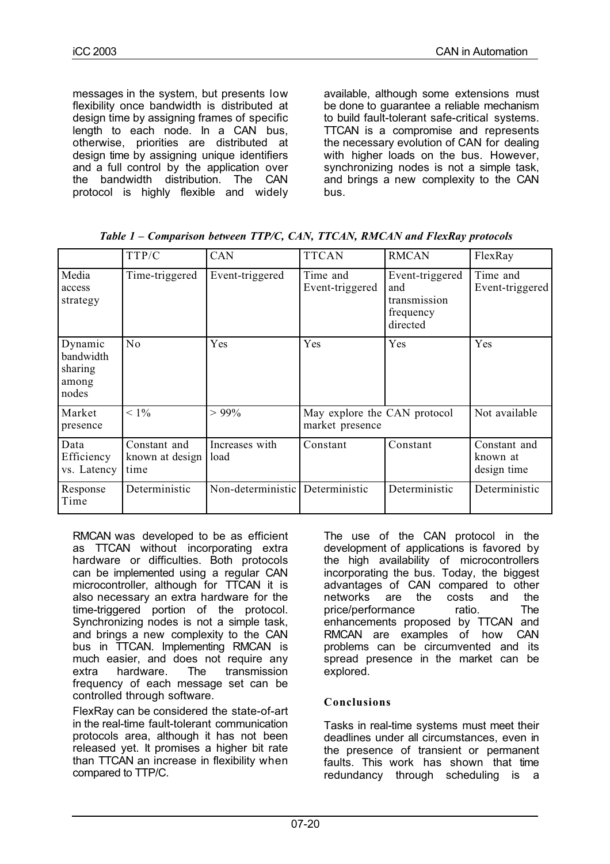messages in the system, but presents low flexibility once bandwidth is distributed at design time by assigning frames of specific length to each node. In a CAN bus, otherwise, priorities are distributed at design time by assigning unique identifiers and a full control by the application over the bandwidth distribution. The CAN protocol is highly flexible and widely

available, although some extensions must be done to guarantee a reliable mechanism to build fault-tolerant safe-critical systems. TTCAN is a compromise and represents the necessary evolution of CAN for dealing with higher loads on the bus. However, synchronizing nodes is not a simple task, and brings a new complexity to the CAN bus.

| Table 1 – Comparison between TTP/C, CAN, TTCAN, RMCAN and FlexRay protocols |  |  |  |  |
|-----------------------------------------------------------------------------|--|--|--|--|
|                                                                             |  |  |  |  |

|                                                   | TTP/C                                   | CAN                    | <b>TTCAN</b>                                    | <b>RMCAN</b>                                                    | FlexRay                                 |
|---------------------------------------------------|-----------------------------------------|------------------------|-------------------------------------------------|-----------------------------------------------------------------|-----------------------------------------|
| Media<br>access<br>strategy                       | Time-triggered                          | Event-triggered        | Time and<br>Event-triggered                     | Event-triggered<br>and<br>transmission<br>frequency<br>directed | Time and<br>Event-triggered             |
| Dynamic<br>bandwidth<br>sharing<br>among<br>nodes | No                                      | Yes                    | Yes                                             | Yes                                                             | Yes                                     |
| Market<br>presence                                | $< 1\%$                                 | $> 99\%$               | May explore the CAN protocol<br>market presence |                                                                 | Not available                           |
| Data<br>Efficiency<br>vs. Latency                 | Constant and<br>known at design<br>time | Increases with<br>load | Constant                                        | Constant                                                        | Constant and<br>known at<br>design time |
| Response<br>Time                                  | Deterministic                           | Non-deterministic      | Deterministic                                   | Deterministic                                                   | Deterministic                           |

RMCAN was developed to be as efficient as TTCAN without incorporating extra hardware or difficulties. Both protocols can be implemented using a regular CAN microcontroller, although for TTCAN it is also necessary an extra hardware for the time-triggered portion of the protocol. Synchronizing nodes is not a simple task, and brings a new complexity to the CAN bus in TTCAN. Implementing RMCAN is much easier, and does not require any extra hardware. The transmission frequency of each message set can be controlled through software.

FlexRay can be considered the state-of-art in the real-time fault-tolerant communication protocols area, although it has not been released yet. It promises a higher bit rate than TTCAN an increase in flexibility when compared to TTP/C.

The use of the CAN protocol in the development of applications is favored by the high availability of microcontrollers incorporating the bus. Today, the biggest advantages of CAN compared to other networks are the costs and the price/performance ratio. The enhancements proposed by TTCAN and RMCAN are examples of how CAN problems can be circumvented and its spread presence in the market can be explored.

## **Conclusions**

Tasks in real-time systems must meet their deadlines under all circumstances, even in the presence of transient or permanent faults. This work has shown that time redundancy through scheduling is a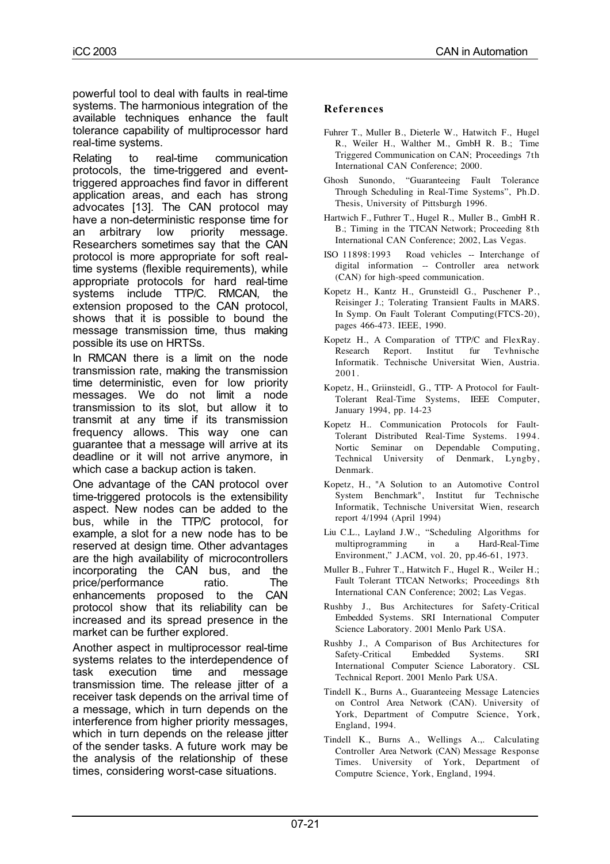powerful tool to deal with faults in real-time systems. The harmonious integration of the available techniques enhance the fault tolerance capability of multiprocessor hard real-time systems.

Relating to real-time communication protocols, the time-triggered and eventtriggered approaches find favor in different application areas, and each has strong advocates [13]. The CAN protocol may have a non-deterministic response time for an arbitrary low priority message. Researchers sometimes say that the CAN protocol is more appropriate for soft realtime systems (flexible requirements), while appropriate protocols for hard real-time systems include TTP/C. RMCAN, the extension proposed to the CAN protocol, shows that it is possible to bound the message transmission time, thus making possible its use on HRTSs.

In RMCAN there is a limit on the node transmission rate, making the transmission time deterministic, even for low priority messages. We do not limit a node transmission to its slot, but allow it to transmit at any time if its transmission frequency allows. This way one can guarantee that a message will arrive at its deadline or it will not arrive anymore, in which case a backup action is taken.

One advantage of the CAN protocol over time-triggered protocols is the extensibility aspect. New nodes can be added to the bus, while in the TTP/C protocol, for example, a slot for a new node has to be reserved at design time. Other advantages are the high availability of microcontrollers incorporating the CAN bus, and the price/performance ratio. The enhancements proposed to the CAN protocol show that its reliability can be increased and its spread presence in the market can be further explored.

Another aspect in multiprocessor real-time systems relates to the interdependence of task execution time and message transmission time. The release jitter of a receiver task depends on the arrival time of a message, which in turn depends on the interference from higher priority messages, which in turn depends on the release jitter of the sender tasks. A future work may be the analysis of the relationship of these times, considering worst-case situations.

# **References**

- Fuhrer T., Muller B., Dieterle W., Hatwitch F., Hugel R., Weiler H., Walther M., GmbH R. B.; Time Triggered Communication on CAN; Proceedings 7th International CAN Conference; 2000.
- Ghosh Sunondo, "Guaranteeing Fault Tolerance Through Scheduling in Real-Time Systems", Ph.D. Thesis, University of Pittsburgh 1996.
- Hartwich F., Futhrer T., Hugel R., Muller B., GmbH R. B.; Timing in the TTCAN Network; Proceeding 8th International CAN Conference; 2002, Las Vegas.
- ISO 11898:1993 Road vehicles -- Interchange of digital information -- Controller area network (CAN) for high-speed communication.
- Kopetz H., Kantz H., Grunsteidl G., Puschener P., Reisinger J.; Tolerating Transient Faults in MARS. In Symp. On Fault Tolerant Computing(FTCS-20), pages 466-473. IEEE, 1990.
- Kopetz H., A Comparation of TTP/C and FlexRay. Research Report. Institut fur Tevhnische Informatik. Technische Universitat Wien, Austria. 2001.
- Kopetz, H., Griinsteidl, G., TTP- A Protocol for Fault-Tolerant Real-Time Systems, IEEE Computer, January 1994, pp. 14-23
- Kopetz H.. Communication Protocols for Fault-Tolerant Distributed Real-Time Systems. 1994. Nortic Seminar on Dependable Computing, Technical University of Denmark, Lyngby, Denmark.
- Kopetz, H., "A Solution to an Automotive Control System Benchmark", Institut fur Technische Informatik, Technische Universitat Wien, research report 4/1994 (April 1994)
- Liu C.L., Layland J.W., "Scheduling Algorithms for multiprogramming in a Hard-Real-Time Environment," J.ACM, vol. 20, pp.46-61, 1973.
- Muller B., Fuhrer T., Hatwitch F., Hugel R., Weiler H.; Fault Tolerant TTCAN Networks; Proceedings 8th International CAN Conference; 2002; Las Vegas.
- Rushby J., Bus Architectures for Safety-Critical Embedded Systems. SRI International Computer Science Laboratory. 2001 Menlo Park USA.
- Rushby J., A Comparison of Bus Architectures for Safety-Critical Embedded Systems. SRI International Computer Science Laboratory. CSL Technical Report. 2001 Menlo Park USA.
- Tindell K., Burns A., Guaranteeing Message Latencies on Control Area Network (CAN). University of York, Department of Computre Science, York, England, 1994.
- Tindell K., Burns A., Wellings A.,. Calculating Controller Area Network (CAN) Message Response Times. University of York, Department of Computre Science, York, England, 1994.